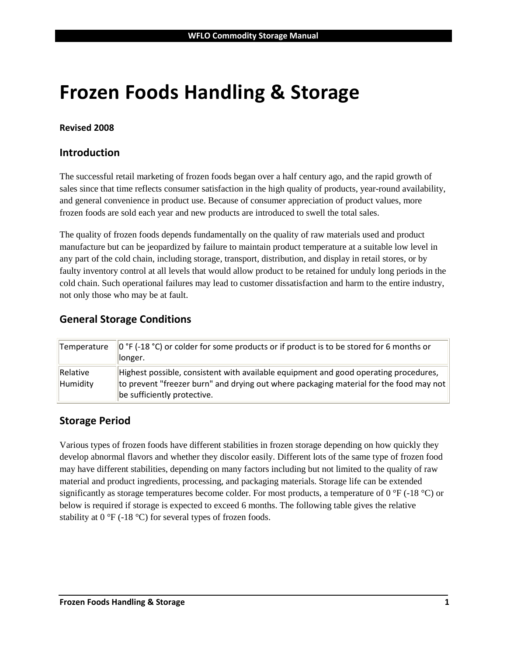# **Frozen Foods Handling & Storage**

#### **Revised 2008**

#### **Introduction**

The successful retail marketing of frozen foods began over a half century ago, and the rapid growth of sales since that time reflects consumer satisfaction in the high quality of products, year-round availability, and general convenience in product use. Because of consumer appreciation of product values, more frozen foods are sold each year and new products are introduced to swell the total sales.

The quality of frozen foods depends fundamentally on the quality of raw materials used and product manufacture but can be jeopardized by failure to maintain product temperature at a suitable low level in any part of the cold chain, including storage, transport, distribution, and display in retail stores, or by faulty inventory control at all levels that would allow product to be retained for unduly long periods in the cold chain. Such operational failures may lead to customer dissatisfaction and harm to the entire industry, not only those who may be at fault.

## **General Storage Conditions**

| Temperature          | $\vert$ 0 °F (-18 °C) or colder for some products or if product is to be stored for 6 months or<br>llonger.                                                                                                   |
|----------------------|---------------------------------------------------------------------------------------------------------------------------------------------------------------------------------------------------------------|
| Relative<br>Humidity | Highest possible, consistent with available equipment and good operating procedures,<br>to prevent "freezer burn" and drying out where packaging material for the food may not<br>be sufficiently protective. |

#### **Storage Period**

Various types of frozen foods have different stabilities in frozen storage depending on how quickly they develop abnormal flavors and whether they discolor easily. Different lots of the same type of frozen food may have different stabilities, depending on many factors including but not limited to the quality of raw material and product ingredients, processing, and packaging materials. Storage life can be extended significantly as storage temperatures become colder. For most products, a temperature of 0 °F (-18 °C) or below is required if storage is expected to exceed 6 months. The following table gives the relative stability at 0 °F (-18 °C) for several types of frozen foods.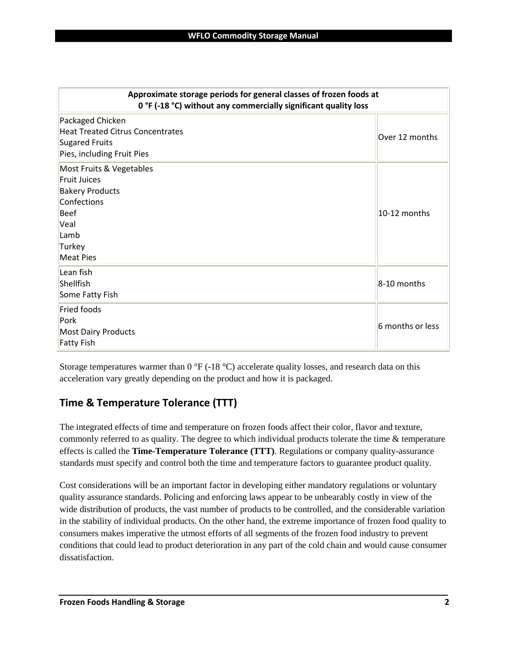| Approximate storage periods for general classes of frozen foods at<br>0 °F (-18 °C) without any commercially significant quality loss                 |                  |
|-------------------------------------------------------------------------------------------------------------------------------------------------------|------------------|
| Packaged Chicken<br><b>Heat Treated Citrus Concentrates</b><br><b>Sugared Fruits</b><br>Pies, including Fruit Pies                                    | Over 12 months   |
| Most Fruits & Vegetables<br><b>Fruit Juices</b><br><b>Bakery Products</b><br>Confections<br><b>Beef</b><br>Veal<br>Lamb<br>Turkey<br><b>Meat Pies</b> | 10-12 months     |
| Lean fish<br>Shellfish<br>Some Fatty Fish                                                                                                             | 8-10 months      |
| Fried foods<br>Pork<br><b>Most Dairy Products</b><br><b>Fatty Fish</b>                                                                                | 6 months or less |

Storage temperatures warmer than 0 °F (-18 °C) accelerate quality losses, and research data on this acceleration vary greatly depending on the product and how it is packaged.

# **Time & Temperature Tolerance (TTT)**

The integrated effects of time and temperature on frozen foods affect their color, flavor and texture, commonly referred to as quality. The degree to which individual products tolerate the time & temperature effects is called the **Time-Temperature Tolerance (TTT)**. Regulations or company quality-assurance standards must specify and control both the time and temperature factors to guarantee product quality.

Cost considerations will be an important factor in developing either mandatory regulations or voluntary quality assurance standards. Policing and enforcing laws appear to be unbearably costly in view of the wide distribution of products, the vast number of products to be controlled, and the considerable variation in the stability of individual products. On the other hand, the extreme importance of frozen food quality to consumers makes imperative the utmost efforts of all segments of the frozen food industry to prevent conditions that could lead to product deterioration in any part of the cold chain and would cause consumer dissatisfaction.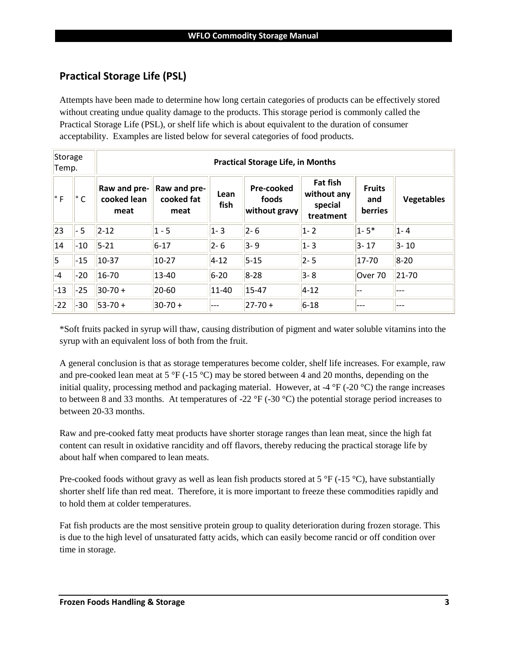## **Practical Storage Life (PSL)**

Attempts have been made to determine how long certain categories of products can be effectively stored without creating undue quality damage to the products. This storage period is commonly called the Practical Storage Life (PSL), or shelf life which is about equivalent to the duration of consumer acceptability. Examples are listed below for several categories of food products.

| Storage<br>Temp. | <b>Practical Storage Life, in Months</b> |                                     |                                    |              |                                      |                                                        |                                 |                   |
|------------------|------------------------------------------|-------------------------------------|------------------------------------|--------------|--------------------------------------|--------------------------------------------------------|---------------------------------|-------------------|
| ∣° F             | ∣° C                                     | Raw and pre-<br>cooked lean<br>meat | Raw and pre-<br>cooked fat<br>meat | Lean<br>fish | Pre-cooked<br>foods<br>without gravy | <b>Fat fish</b><br>without any<br>special<br>treatment | <b>Fruits</b><br>and<br>berries | <b>Vegetables</b> |
| 23               | $-5$                                     | $2 - 12$                            | $1 - 5$                            | $1 - 3$      | $ 2 - 6 $                            | $ 1 - 2 $                                              | $1 - 5*$                        | $1 - 4$           |
| 14               | $-10$                                    | $5 - 21$                            | $6 - 17$                           | $2 - 6$      | $3 - 9$                              | $1 - 3$                                                | $3 - 17$                        | $3 - 10$          |
| 5                | $-15$                                    | $10-37$                             | $10-27$                            | $4 - 12$     | $5 - 15$                             | $2 - 5$                                                | 17-70                           | $8 - 20$          |
| $ -4$            | $-20$                                    | $16 - 70$                           | $13 - 40$                          | $6 - 20$     | $8 - 28$                             | $3 - 8$                                                | Over 70                         | $21 - 70$         |
| $-13$            | $-25$                                    | $ 30-70+$                           | $20 - 60$                          | 11-40        | $15 - 47$                            | $4 - 12$                                               | --                              | ---               |
| $-22$            | $ -30$                                   | $ 53-70+$                           | $ 30-70+$                          | ---          | $ 27-70+$                            | $6 - 18$                                               | ---                             | ---               |

\*Soft fruits packed in syrup will thaw, causing distribution of pigment and water soluble vitamins into the syrup with an equivalent loss of both from the fruit.

A general conclusion is that as storage temperatures become colder, shelf life increases. For example, raw and pre-cooked lean meat at 5 °F (-15 °C) may be stored between 4 and 20 months, depending on the initial quality, processing method and packaging material. However, at -4 °F (-20 °C) the range increases to between 8 and 33 months. At temperatures of -22 °F (-30 °C) the potential storage period increases to between 20-33 months.

Raw and pre-cooked fatty meat products have shorter storage ranges than lean meat, since the high fat content can result in oxidative rancidity and off flavors, thereby reducing the practical storage life by about half when compared to lean meats.

Pre-cooked foods without gravy as well as lean fish products stored at 5  $\degree$ F (-15  $\degree$ C), have substantially shorter shelf life than red meat. Therefore, it is more important to freeze these commodities rapidly and to hold them at colder temperatures.

Fat fish products are the most sensitive protein group to quality deterioration during frozen storage. This is due to the high level of unsaturated fatty acids, which can easily become rancid or off condition over time in storage.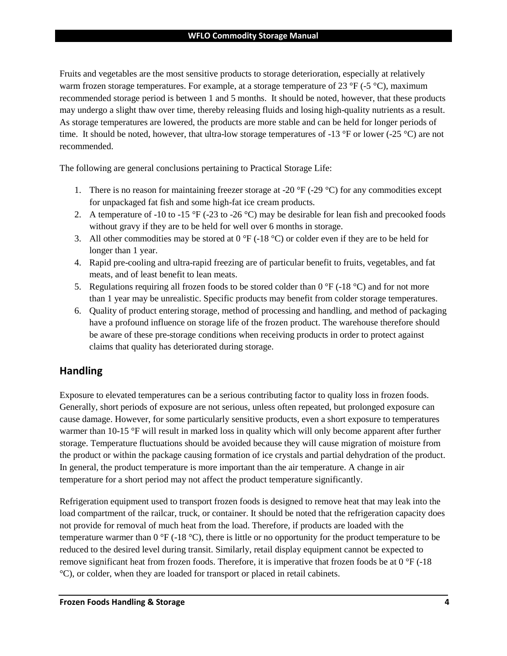Fruits and vegetables are the most sensitive products to storage deterioration, especially at relatively warm frozen storage temperatures. For example, at a storage temperature of 23 °F (-5 °C), maximum recommended storage period is between 1 and 5 months. It should be noted, however, that these products may undergo a slight thaw over time, thereby releasing fluids and losing high-quality nutrients as a result. As storage temperatures are lowered, the products are more stable and can be held for longer periods of time. It should be noted, however, that ultra-low storage temperatures of -13 °F or lower (-25 °C) are not recommended.

The following are general conclusions pertaining to Practical Storage Life:

- 1. There is no reason for maintaining freezer storage at -20  $\degree$ F (-29  $\degree$ C) for any commodities except for unpackaged fat fish and some high-fat ice cream products.
- 2. A temperature of -10 to -15 °F (-23 to -26 °C) may be desirable for lean fish and precooked foods without gravy if they are to be held for well over 6 months in storage.
- 3. All other commodities may be stored at  $0^{\circ}F(-18^{\circ}C)$  or colder even if they are to be held for longer than 1 year.
- 4. Rapid pre-cooling and ultra-rapid freezing are of particular benefit to fruits, vegetables, and fat meats, and of least benefit to lean meats.
- 5. Regulations requiring all frozen foods to be stored colder than  $0^{\circ}F$  (-18  $^{\circ}C$ ) and for not more than 1 year may be unrealistic. Specific products may benefit from colder storage temperatures.
- 6. Quality of product entering storage, method of processing and handling, and method of packaging have a profound influence on storage life of the frozen product. The warehouse therefore should be aware of these pre-storage conditions when receiving products in order to protect against claims that quality has deteriorated during storage.

# **Handling**

Exposure to elevated temperatures can be a serious contributing factor to quality loss in frozen foods. Generally, short periods of exposure are not serious, unless often repeated, but prolonged exposure can cause damage. However, for some particularly sensitive products, even a short exposure to temperatures warmer than 10-15 °F will result in marked loss in quality which will only become apparent after further storage. Temperature fluctuations should be avoided because they will cause migration of moisture from the product or within the package causing formation of ice crystals and partial dehydration of the product. In general, the product temperature is more important than the air temperature. A change in air temperature for a short period may not affect the product temperature significantly.

Refrigeration equipment used to transport frozen foods is designed to remove heat that may leak into the load compartment of the railcar, truck, or container. It should be noted that the refrigeration capacity does not provide for removal of much heat from the load. Therefore, if products are loaded with the temperature warmer than 0 °F (-18 °C), there is little or no opportunity for the product temperature to be reduced to the desired level during transit. Similarly, retail display equipment cannot be expected to remove significant heat from frozen foods. Therefore, it is imperative that frozen foods be at 0 °F (-18 °C), or colder, when they are loaded for transport or placed in retail cabinets.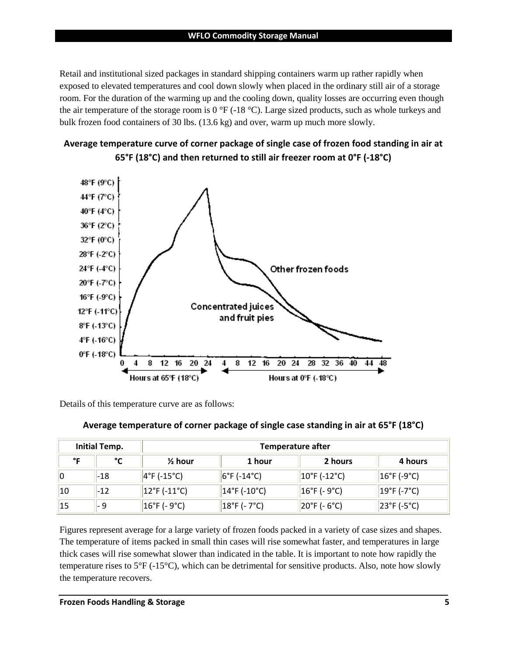Retail and institutional sized packages in standard shipping containers warm up rather rapidly when exposed to elevated temperatures and cool down slowly when placed in the ordinary still air of a storage room. For the duration of the warming up and the cooling down, quality losses are occurring even though the air temperature of the storage room is 0  $\degree$ F (-18  $\degree$ C). Large sized products, such as whole turkeys and bulk frozen food containers of 30 lbs. (13.6 kg) and over, warm up much more slowly.





Details of this temperature curve are as follows:

|  |  | Average temperature of corner package of single case standing in air at 65°F (18°C) |
|--|--|-------------------------------------------------------------------------------------|
|--|--|-------------------------------------------------------------------------------------|

| <b>Initial Temp.</b> |       | <b>Temperature after</b>           |                                   |                                    |                                   |  |
|----------------------|-------|------------------------------------|-----------------------------------|------------------------------------|-----------------------------------|--|
| °۵                   | °∩°   | $\frac{1}{2}$ hour                 | 1 hour                            | 2 hours                            | 4 hours                           |  |
| 10                   | $-18$ | $ 4^{\circ}$ F (-15 $^{\circ}$ C)  | $ 6^{\circ}$ F (-14 $^{\circ}$ C) | $ 10^{\circ}$ F (-12 $^{\circ}$ C) | $ 16^{\circ}$ F (-9 $^{\circ}$ C) |  |
| 10                   | $-12$ | $ 12^{\circ}$ F (-11 $^{\circ}$ C) | $ 14°F (-10°C)$                   | $ 16^{\circ}$ F (- 9 $^{\circ}$ C) | $ 19^{\circ}$ F (-7 $^{\circ}$ C) |  |
| 15                   | - 9   | $16^{\circ}$ F (- 9 $^{\circ}$ C)  | $ 18^{\circ}$ F (- 7°C)           | 20°F (- 6°C)                       | $ 23^{\circ}F(-5^{\circ}C) $      |  |

Figures represent average for a large variety of frozen foods packed in a variety of case sizes and shapes. The temperature of items packed in small thin cases will rise somewhat faster, and temperatures in large thick cases will rise somewhat slower than indicated in the table. It is important to note how rapidly the temperature rises to 5°F (-15°C), which can be detrimental for sensitive products. Also, note how slowly the temperature recovers.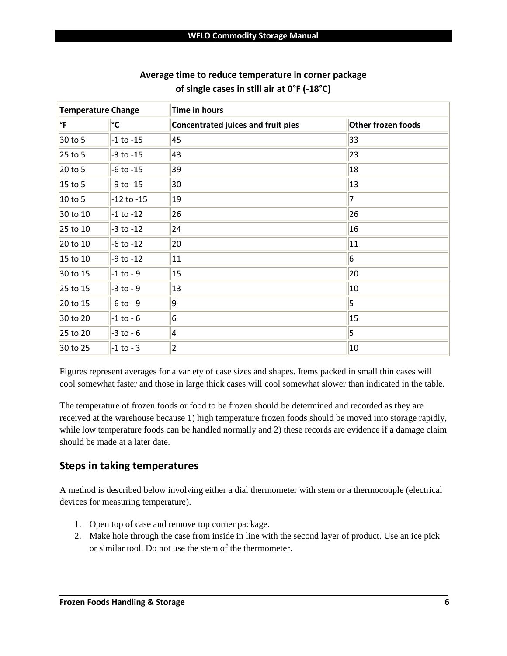| <b>Temperature Change</b> |                | <b>Time in hours</b>                      |                           |  |  |
|---------------------------|----------------|-------------------------------------------|---------------------------|--|--|
| ∣°F                       | °C             | <b>Concentrated juices and fruit pies</b> | <b>Other frozen foods</b> |  |  |
| 30 to 5                   | $-1$ to $-15$  | 45                                        | 33                        |  |  |
| 25 to 5                   | $-3$ to $-15$  | 43                                        | 23                        |  |  |
| 20 to 5                   | $-6$ to $-15$  | 39                                        | 18                        |  |  |
| 15 to 5                   | $-9$ to $-15$  | 30                                        | 13                        |  |  |
| 10 to 5                   | $-12$ to $-15$ | 19                                        | $\overline{7}$            |  |  |
| 30 to 10                  | $-1$ to $-12$  | 26                                        | 26                        |  |  |
| 25 to 10                  | $-3$ to $-12$  | 24                                        | 16                        |  |  |
| 20 to 10                  | $-6$ to $-12$  | 20                                        | 11                        |  |  |
| 15 to 10                  | $-9$ to $-12$  | 11                                        | $6\overline{6}$           |  |  |
| 30 to 15                  | $-1$ to $-9$   | 15                                        | 20                        |  |  |
| 25 to 15                  | $-3$ to $-9$   | 13                                        | 10                        |  |  |
| 20 to 15                  | $-6$ to $-9$   | $\overline{9}$                            | $\overline{\mathbf{5}}$   |  |  |
| 30 to 20                  | $-1$ to $-6$   | $6\overline{6}$                           | 15                        |  |  |
| 25 to 20                  | $-3$ to $-6$   | 4                                         | $\overline{5}$            |  |  |
| 30 to 25                  | $-1$ to $-3$   | $ 2\rangle$                               | 10                        |  |  |

#### **Average time to reduce temperature in corner package of single cases in still air at 0°F (-18°C)**

Figures represent averages for a variety of case sizes and shapes. Items packed in small thin cases will cool somewhat faster and those in large thick cases will cool somewhat slower than indicated in the table.

The temperature of frozen foods or food to be frozen should be determined and recorded as they are received at the warehouse because 1) high temperature frozen foods should be moved into storage rapidly, while low temperature foods can be handled normally and 2) these records are evidence if a damage claim should be made at a later date.

# **Steps in taking temperatures**

A method is described below involving either a dial thermometer with stem or a thermocouple (electrical devices for measuring temperature).

- 1. Open top of case and remove top corner package.
- 2. Make hole through the case from inside in line with the second layer of product. Use an ice pick or similar tool. Do not use the stem of the thermometer.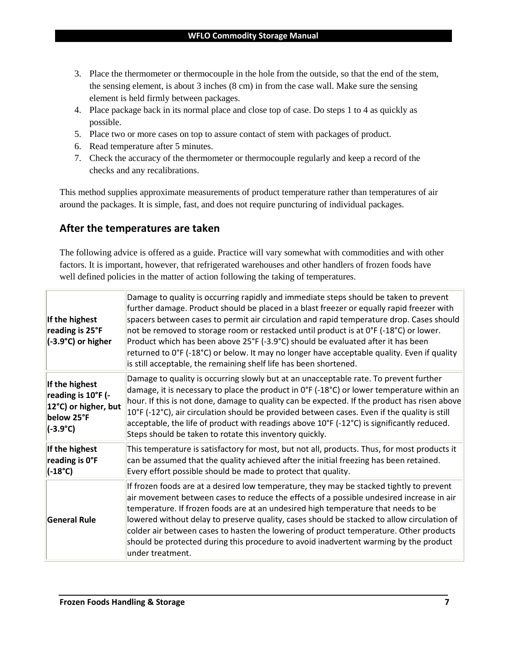- 3. Place the thermometer or thermocouple in the hole from the outside, so that the end of the stem, the sensing element, is about 3 inches (8 cm) in from the case wall. Make sure the sensing element is held firmly between packages.
- 4. Place package back in its normal place and close top of case. Do steps 1 to 4 as quickly as possible.
- 5. Place two or more cases on top to assure contact of stem with packages of product.
- 6. Read temperature after 5 minutes.
- 7. Check the accuracy of the thermometer or thermocouple regularly and keep a record of the checks and any recalibrations.

This method supplies approximate measurements of product temperature rather than temperatures of air around the packages. It is simple, fast, and does not require puncturing of individual packages.

# **After the temperatures are taken**

The following advice is offered as a guide. Practice will vary somewhat with commodities and with other factors. It is important, however, that refrigerated warehouses and other handlers of frozen foods have well defined policies in the matter of action following the taking of temperatures.

| If the highest<br>reading is 25°F<br>(-3.9°C) or higher                                         | Damage to quality is occurring rapidly and immediate steps should be taken to prevent<br>further damage. Product should be placed in a blast freezer or equally rapid freezer with<br>spacers between cases to permit air circulation and rapid temperature drop. Cases should<br>not be removed to storage room or restacked until product is at 0°F (-18°C) or lower.<br>Product which has been above 25°F (-3.9°C) should be evaluated after it has been<br>returned to 0°F (-18°C) or below. It may no longer have acceptable quality. Even if quality<br>is still acceptable, the remaining shelf life has been shortened. |
|-------------------------------------------------------------------------------------------------|---------------------------------------------------------------------------------------------------------------------------------------------------------------------------------------------------------------------------------------------------------------------------------------------------------------------------------------------------------------------------------------------------------------------------------------------------------------------------------------------------------------------------------------------------------------------------------------------------------------------------------|
| If the highest<br>reading is 10°F (-<br>12°C) or higher, but<br>below 25°F<br>$(-3.9^{\circ}C)$ | Damage to quality is occurring slowly but at an unacceptable rate. To prevent further<br>damage, it is necessary to place the product in $0^{\circ}F$ (-18 $^{\circ}C$ ) or lower temperature within an<br>hour. If this is not done, damage to quality can be expected. If the product has risen above<br>10°F (-12°C), air circulation should be provided between cases. Even if the quality is still<br>acceptable, the life of product with readings above $10^{\circ}F$ (-12 $^{\circ}C$ ) is significantly reduced.<br>Steps should be taken to rotate this inventory quickly.                                            |
| If the highest<br>reading is O°F<br>$(-18^{\circ}C)$                                            | This temperature is satisfactory for most, but not all, products. Thus, for most products it<br>can be assumed that the quality achieved after the initial freezing has been retained.<br>Every effort possible should be made to protect that quality.                                                                                                                                                                                                                                                                                                                                                                         |
| <b>General Rule</b>                                                                             | If frozen foods are at a desired low temperature, they may be stacked tightly to prevent<br>air movement between cases to reduce the effects of a possible undesired increase in air<br>temperature. If frozen foods are at an undesired high temperature that needs to be<br>lowered without delay to preserve quality, cases should be stacked to allow circulation of<br>colder air between cases to hasten the lowering of product temperature. Other products<br>should be protected during this procedure to avoid inadvertent warming by the product<br>under treatment.                                                 |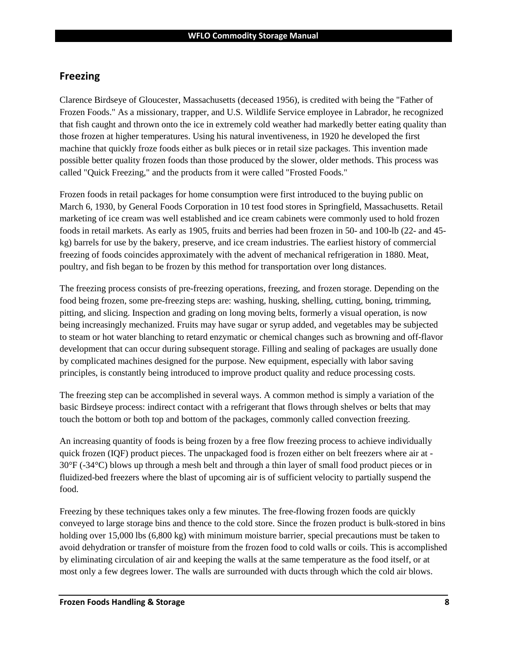#### **Freezing**

Clarence Birdseye of Gloucester, Massachusetts (deceased 1956), is credited with being the "Father of Frozen Foods." As a missionary, trapper, and U.S. Wildlife Service employee in Labrador, he recognized that fish caught and thrown onto the ice in extremely cold weather had markedly better eating quality than those frozen at higher temperatures. Using his natural inventiveness, in 1920 he developed the first machine that quickly froze foods either as bulk pieces or in retail size packages. This invention made possible better quality frozen foods than those produced by the slower, older methods. This process was called "Quick Freezing," and the products from it were called "Frosted Foods."

Frozen foods in retail packages for home consumption were first introduced to the buying public on March 6, 1930, by General Foods Corporation in 10 test food stores in Springfield, Massachusetts. Retail marketing of ice cream was well established and ice cream cabinets were commonly used to hold frozen foods in retail markets. As early as 1905, fruits and berries had been frozen in 50- and 100-lb (22- and 45 kg) barrels for use by the bakery, preserve, and ice cream industries. The earliest history of commercial freezing of foods coincides approximately with the advent of mechanical refrigeration in 1880. Meat, poultry, and fish began to be frozen by this method for transportation over long distances.

The freezing process consists of pre-freezing operations, freezing, and frozen storage. Depending on the food being frozen, some pre-freezing steps are: washing, husking, shelling, cutting, boning, trimming, pitting, and slicing. Inspection and grading on long moving belts, formerly a visual operation, is now being increasingly mechanized. Fruits may have sugar or syrup added, and vegetables may be subjected to steam or hot water blanching to retard enzymatic or chemical changes such as browning and off-flavor development that can occur during subsequent storage. Filling and sealing of packages are usually done by complicated machines designed for the purpose. New equipment, especially with labor saving principles, is constantly being introduced to improve product quality and reduce processing costs.

The freezing step can be accomplished in several ways. A common method is simply a variation of the basic Birdseye process: indirect contact with a refrigerant that flows through shelves or belts that may touch the bottom or both top and bottom of the packages, commonly called convection freezing.

An increasing quantity of foods is being frozen by a free flow freezing process to achieve individually quick frozen (IQF) product pieces. The unpackaged food is frozen either on belt freezers where air at -30°F (-34°C) blows up through a mesh belt and through a thin layer of small food product pieces or in fluidized-bed freezers where the blast of upcoming air is of sufficient velocity to partially suspend the food.

Freezing by these techniques takes only a few minutes. The free-flowing frozen foods are quickly conveyed to large storage bins and thence to the cold store. Since the frozen product is bulk-stored in bins holding over 15,000 lbs (6,800 kg) with minimum moisture barrier, special precautions must be taken to avoid dehydration or transfer of moisture from the frozen food to cold walls or coils. This is accomplished by eliminating circulation of air and keeping the walls at the same temperature as the food itself, or at most only a few degrees lower. The walls are surrounded with ducts through which the cold air blows.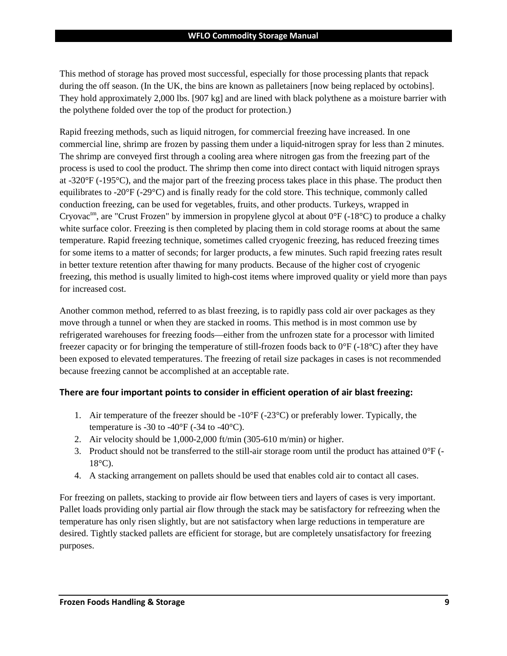This method of storage has proved most successful, especially for those processing plants that repack during the off season. (In the UK, the bins are known as palletainers [now being replaced by octobins]. They hold approximately 2,000 lbs. [907 kg] and are lined with black polythene as a moisture barrier with the polythene folded over the top of the product for protection.)

Rapid freezing methods, such as liquid nitrogen, for commercial freezing have increased. In one commercial line, shrimp are frozen by passing them under a liquid-nitrogen spray for less than 2 minutes. The shrimp are conveyed first through a cooling area where nitrogen gas from the freezing part of the process is used to cool the product. The shrimp then come into direct contact with liquid nitrogen sprays at -320°F (-195°C), and the major part of the freezing process takes place in this phase. The product then equilibrates to -20°F (-29°C) and is finally ready for the cold store. This technique, commonly called conduction freezing, can be used for vegetables, fruits, and other products. Turkeys, wrapped in Cryovac<sup>tm</sup>, are "Crust Frozen" by immersion in propylene glycol at about  $0^{\circ}F$  (-18<sup>o</sup>C) to produce a chalky white surface color. Freezing is then completed by placing them in cold storage rooms at about the same temperature. Rapid freezing technique, sometimes called cryogenic freezing, has reduced freezing times for some items to a matter of seconds; for larger products, a few minutes. Such rapid freezing rates result in better texture retention after thawing for many products. Because of the higher cost of cryogenic freezing, this method is usually limited to high-cost items where improved quality or yield more than pays for increased cost.

Another common method, referred to as blast freezing, is to rapidly pass cold air over packages as they move through a tunnel or when they are stacked in rooms. This method is in most common use by refrigerated warehouses for freezing foods—either from the unfrozen state for a processor with limited freezer capacity or for bringing the temperature of still-frozen foods back to  $0^{\circ}F$  (-18 $^{\circ}C$ ) after they have been exposed to elevated temperatures. The freezing of retail size packages in cases is not recommended because freezing cannot be accomplished at an acceptable rate.

#### **There are four important points to consider in efficient operation of air blast freezing:**

- 1. Air temperature of the freezer should be  $-10^{\circ}F(-23^{\circ}C)$  or preferably lower. Typically, the temperature is -30 to -40 $\mathrm{^{\circ}F}$  (-34 to -40 $\mathrm{^{\circ}C}$ ).
- 2. Air velocity should be 1,000-2,000 ft/min (305-610 m/min) or higher.
- 3. Product should not be transferred to the still-air storage room until the product has attained  $0^{\circ}F$  (- $18^{\circ}$ C).
- 4. A stacking arrangement on pallets should be used that enables cold air to contact all cases.

For freezing on pallets, stacking to provide air flow between tiers and layers of cases is very important. Pallet loads providing only partial air flow through the stack may be satisfactory for refreezing when the temperature has only risen slightly, but are not satisfactory when large reductions in temperature are desired. Tightly stacked pallets are efficient for storage, but are completely unsatisfactory for freezing purposes.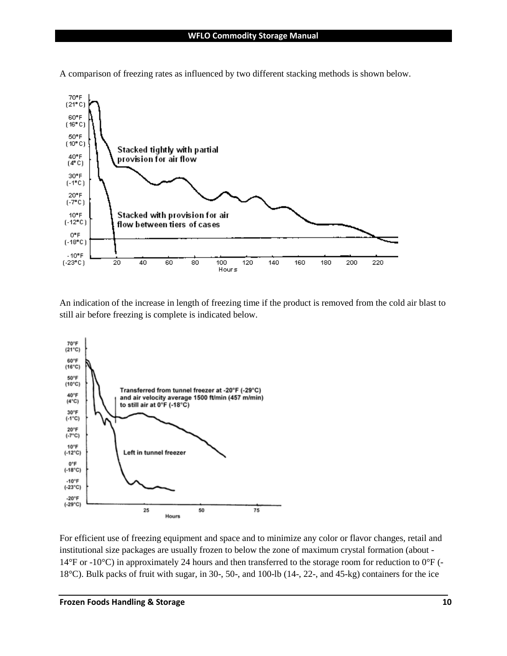

A comparison of freezing rates as influenced by two different stacking methods is shown below.

An indication of the increase in length of freezing time if the product is removed from the cold air blast to still air before freezing is complete is indicated below.



For efficient use of freezing equipment and space and to minimize any color or flavor changes, retail and institutional size packages are usually frozen to below the zone of maximum crystal formation (about - 14°F or -10°C) in approximately 24 hours and then transferred to the storage room for reduction to 0°F (- 18°C). Bulk packs of fruit with sugar, in 30-, 50-, and 100-lb (14-, 22-, and 45-kg) containers for the ice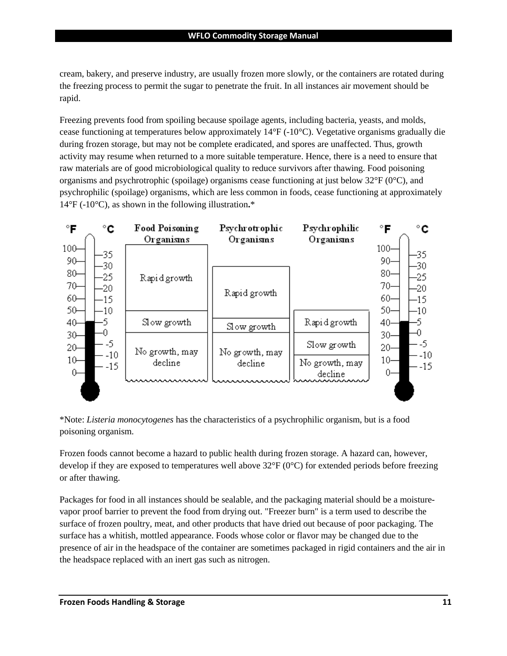cream, bakery, and preserve industry, are usually frozen more slowly, or the containers are rotated during the freezing process to permit the sugar to penetrate the fruit. In all instances air movement should be rapid.

Freezing prevents food from spoiling because spoilage agents, including bacteria, yeasts, and molds, cease functioning at temperatures below approximately 14°F (-10°C). Vegetative organisms gradually die during frozen storage, but may not be complete eradicated, and spores are unaffected. Thus, growth activity may resume when returned to a more suitable temperature. Hence, there is a need to ensure that raw materials are of good microbiological quality to reduce survivors after thawing. Food poisoning organisms and psychrotrophic (spoilage) organisms cease functioning at just below  $32^{\circ}F(0^{\circ}C)$ , and psychrophilic (spoilage) organisms, which are less common in foods, cease functioning at approximately 14°F (-10°C), as shown in the following illustration**.**\*



\*Note: *Listeria monocytogenes* has the characteristics of a psychrophilic organism, but is a food poisoning organism.

Frozen foods cannot become a hazard to public health during frozen storage. A hazard can, however, develop if they are exposed to temperatures well above  $32^{\circ}F(0^{\circ}C)$  for extended periods before freezing or after thawing.

Packages for food in all instances should be sealable, and the packaging material should be a moisturevapor proof barrier to prevent the food from drying out. "Freezer burn" is a term used to describe the surface of frozen poultry, meat, and other products that have dried out because of poor packaging. The surface has a whitish, mottled appearance. Foods whose color or flavor may be changed due to the presence of air in the headspace of the container are sometimes packaged in rigid containers and the air in the headspace replaced with an inert gas such as nitrogen.